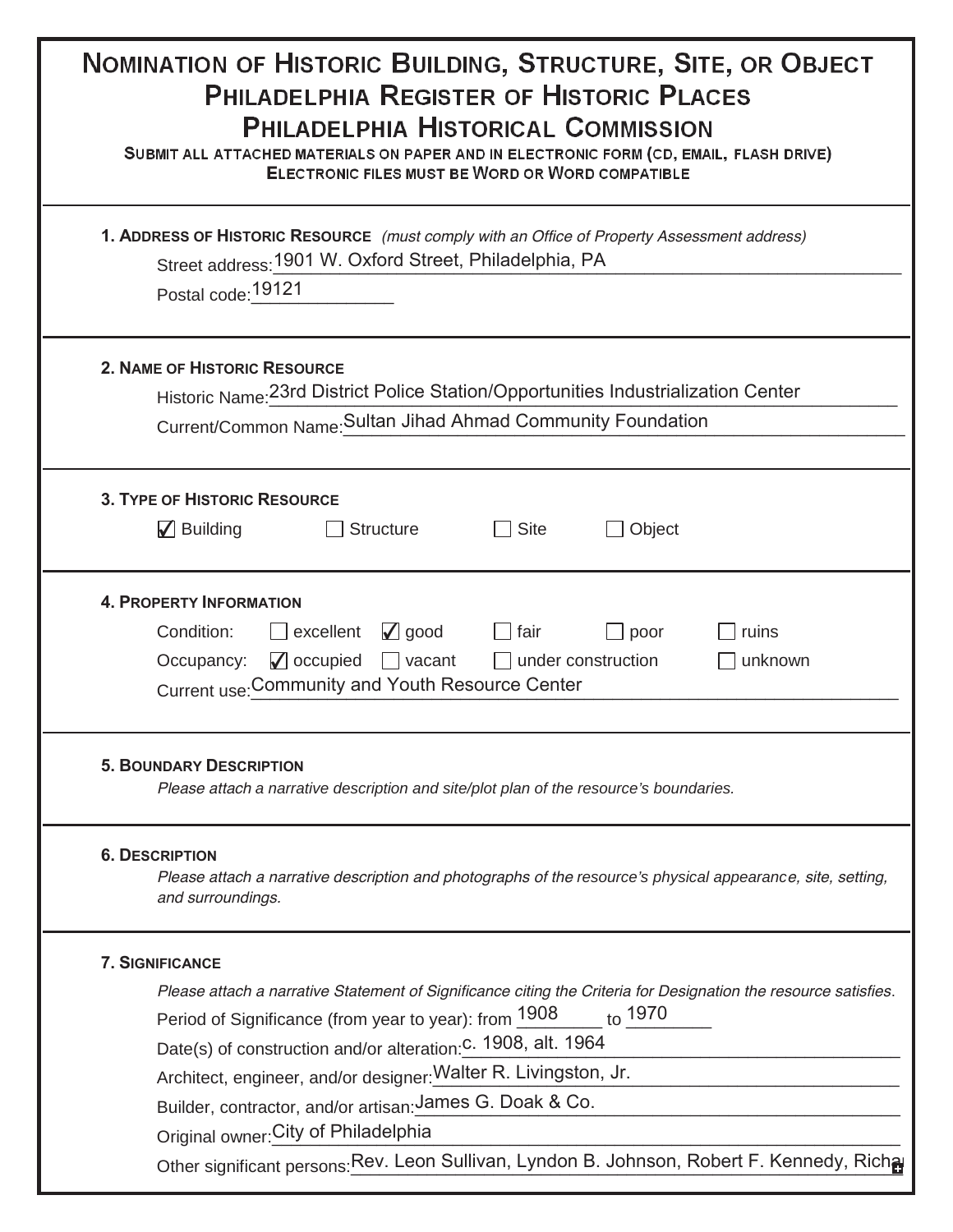| NOMINATION OF HISTORIC BUILDING, STRUCTURE, SITE, OR OBJECT<br><b>PHILADELPHIA REGISTER OF HISTORIC PLACES</b><br><b>PHILADELPHIA HISTORICAL COMMISSION</b><br>SUBMIT ALL ATTACHED MATERIALS ON PAPER AND IN ELECTRONIC FORM (CD, EMAIL, FLASH DRIVE)<br><b>ELECTRONIC FILES MUST BE WORD OR WORD COMPATIBLE</b>                                                                                                                                                                                                                                    |
|-----------------------------------------------------------------------------------------------------------------------------------------------------------------------------------------------------------------------------------------------------------------------------------------------------------------------------------------------------------------------------------------------------------------------------------------------------------------------------------------------------------------------------------------------------|
| 1. ADDRESS OF HISTORIC RESOURCE (must comply with an Office of Property Assessment address)<br>Street address: 1901 W. Oxford Street, Philadelphia, PA<br>Postal code: 19121                                                                                                                                                                                                                                                                                                                                                                        |
| <b>2. NAME OF HISTORIC RESOURCE</b><br>Historic Name: 23rd District Police Station/Opportunities Industrialization Center<br>Current/Common Name: Sultan Jihad Ahmad Community Foundation                                                                                                                                                                                                                                                                                                                                                           |
| <b>3. TYPE OF HISTORIC RESOURCE</b><br>$\sqrt{\phantom{a}}$ Building<br><b>Structure</b><br><b>Site</b><br>Object                                                                                                                                                                                                                                                                                                                                                                                                                                   |
| <b>4. PROPERTY INFORMATION</b><br>$\sqrt{ }$ good<br>Condition:<br>excellent<br>ruins<br>$\Box$ fair<br>poor<br>Occupancy: $\Box$ occupied $\Box$ vacant $\Box$ under construction<br>unknown<br>Current use: Community and Youth Resource Center                                                                                                                                                                                                                                                                                                   |
| <b>5. BOUNDARY DESCRIPTION</b><br>Please attach a narrative description and site/plot plan of the resource's boundaries.                                                                                                                                                                                                                                                                                                                                                                                                                            |
| <b>6. DESCRIPTION</b><br>Please attach a narrative description and photographs of the resource's physical appearance, site, setting,<br>and surroundings.                                                                                                                                                                                                                                                                                                                                                                                           |
| <b>7. SIGNIFICANCE</b><br>Please attach a narrative Statement of Significance citing the Criteria for Designation the resource satisfies.<br>to 1970<br>Period of Significance (from year to year): from 1908<br>Date(s) of construction and/or alteration: C. 1908, alt. 1964<br>Architect, engineer, and/or designer: Walter R. Livingston, Jr.<br>Builder, contractor, and/or artisan: James G. Doak & Co.<br>Original owner: City of Philadelphia<br>Other significant persons: Rev. Leon Sullivan, Lyndon B. Johnson, Robert F. Kennedy, Richa |